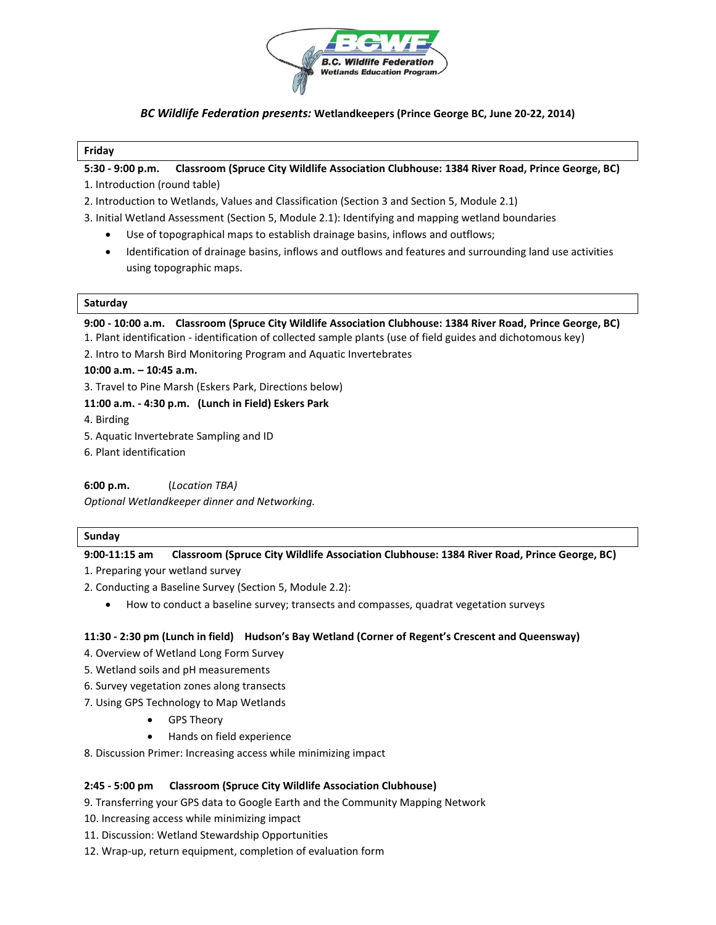

# *BC Wildlife Federation presents:* **Wetlandkeepers (Prince George BC, June 20-22, 2014)**

#### **Friday**

**5:30 - 9:00 p.m. Classroom (Spruce City Wildlife Association Clubhouse: 1384 River Road, Prince George, BC)**

- 1. Introduction (round table)
- 2. Introduction to Wetlands, Values and Classification (Section 3 and Section 5, Module 2.1)
- 3. Initial Wetland Assessment (Section 5, Module 2.1): Identifying and mapping wetland boundaries
	- Use of topographical maps to establish drainage basins, inflows and outflows;
	- Identification of drainage basins, inflows and outflows and features and surrounding land use activities using topographic maps.

#### **Saturday**

**9:00 - 10:00 a.m. Classroom (Spruce City Wildlife Association Clubhouse: 1384 River Road, Prince George, BC)** 

1. Plant identification - identification of collected sample plants (use of field guides and dichotomous key)

2. Intro to Marsh Bird Monitoring Program and Aquatic Invertebrates

#### **10:00 a.m. – 10:45 a.m.**

3. Travel to Pine Marsh (Eskers Park, Directions below)

#### **11:00 a.m. - 4:30 p.m. (Lunch in Field) Eskers Park**

4. Birding

- 5. Aquatic Invertebrate Sampling and ID
- 6. Plant identification

**6:00 p.m.** (*Location TBA)*

*Optional Wetlandkeeper dinner and Networking.* 

# **Sunday**

# **9:00-11:15 am Classroom (Spruce City Wildlife Association Clubhouse: 1384 River Road, Prince George, BC)**

1. Preparing your wetland survey

- 2. Conducting a Baseline Survey (Section 5, Module 2.2):
	- How to conduct a baseline survey; transects and compasses, quadrat vegetation surveys

# **11:30 - 2:30 pm (Lunch in field) Hudson's Bay Wetland (Corner of Regent's Crescent and Queensway)**

- 4. Overview of Wetland Long Form Survey
- 5. Wetland soils and pH measurements
- 6. Survey vegetation zones along transects
- 7. Using GPS Technology to Map Wetlands
	- GPS Theory
	- Hands on field experience
- 8. Discussion Primer: Increasing access while minimizing impact

# **2:45 - 5:00 pm Classroom (Spruce City Wildlife Association Clubhouse)**

9. Transferring your GPS data to Google Earth and the Community Mapping Network

- 10. Increasing access while minimizing impact
- 11. Discussion: Wetland Stewardship Opportunities
- 12. Wrap-up, return equipment, completion of evaluation form